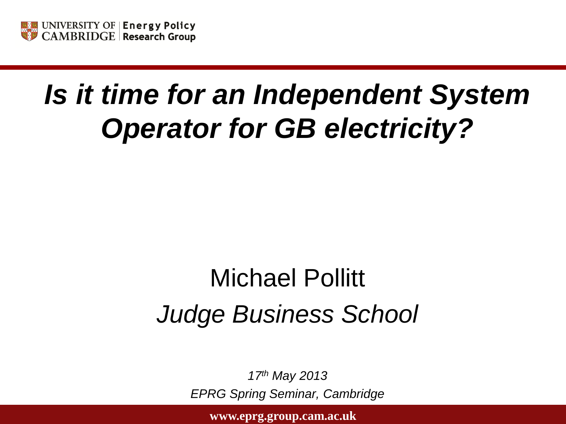

# *Is it time for an Independent System Operator for GB electricity?*

# Michael Pollitt *Judge Business School*

*17th May 2013 EPRG Spring Seminar, Cambridge*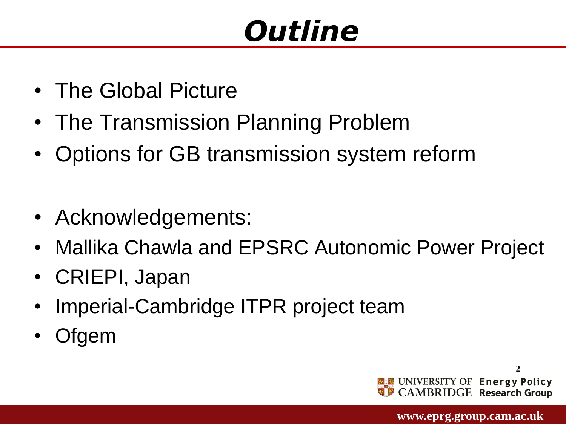# *Outline*

- The Global Picture
- The Transmission Planning Problem
- Options for GB transmission system reform
- Acknowledgements:
- Mallika Chawla and EPSRC Autonomic Power Project
- CRIEPI, Japan
- Imperial-Cambridge ITPR project team
- **Ofgem**

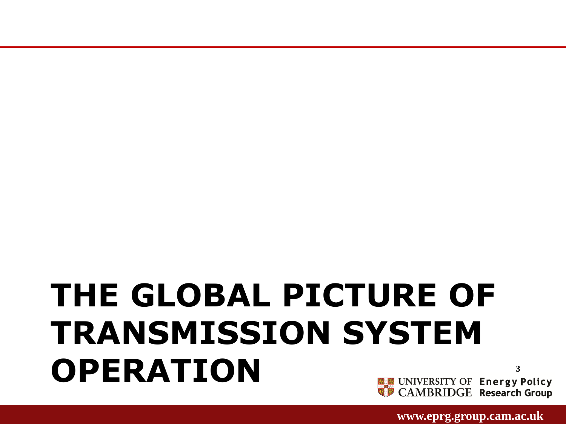**3**

## **THE GLOBAL PICTURE OF TRANSMISSION SYSTEM OPERATION**UNIVERSITY OF | Energy Policy<br>CAMBRIDGE | Research Group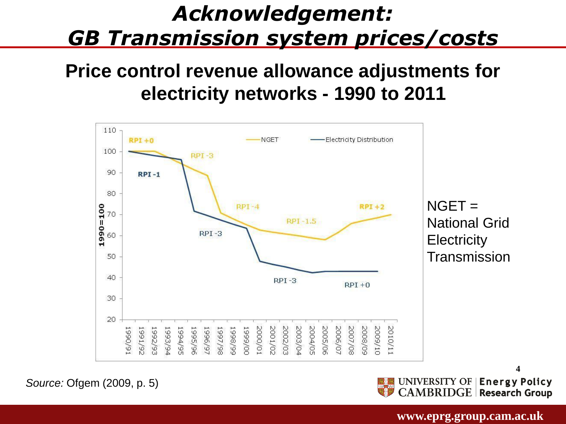#### Acknowledgement: **GB Transmission system prices/costs** <u>a though we recognise that the therminist that the will have been variable</u>

#### **Price control revenue allowance adjustments for electricity networks - 1990 to 2011** charges and across time periods. **networks**



*Source:* Ofgem (2009, p. 5)

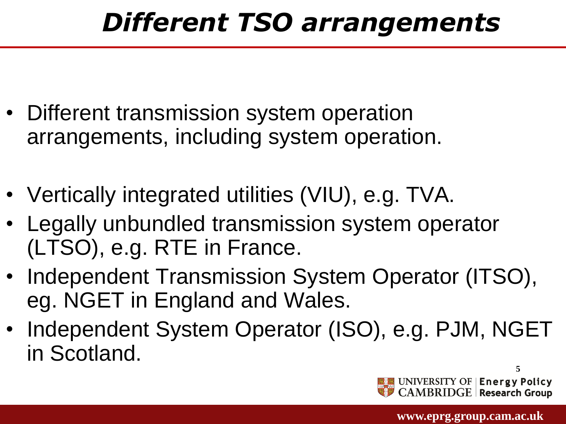# *Different TSO arrangements*

- Different transmission system operation arrangements, including system operation.
- Vertically integrated utilities (VIU), e.g. TVA.
- Legally unbundled transmission system operator (LTSO), e.g. RTE in France.
- Independent Transmission System Operator (ITSO), eg. NGET in England and Wales.
- Independent System Operator (ISO), e.g. PJM, NGET in Scotland.

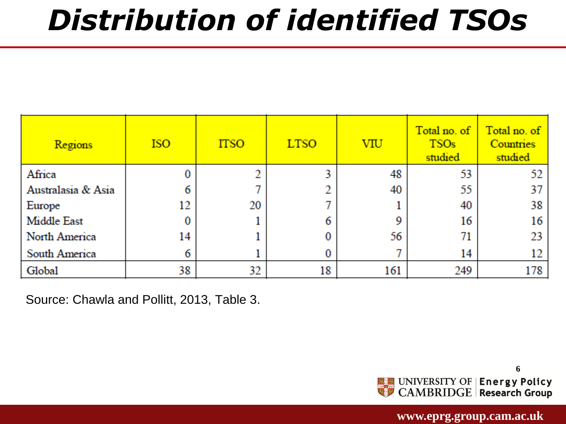# *Distribution of identified TSOs*

| <b>Regions</b>     | <b>ISO</b> | <b>ITSO</b> | <b>LTSO</b> | VIU | Total no. of<br><b>TSOs</b><br>studied | Total no. of<br><b>Countries</b><br>studied |
|--------------------|------------|-------------|-------------|-----|----------------------------------------|---------------------------------------------|
| Africa             |            |             |             | 48  | 53                                     | 52                                          |
| Australasia & Asia |            |             |             | 40  | 55                                     | 37                                          |
| Europe             | 12         | 20          |             |     | 40                                     | 38                                          |
| Middle East        |            |             |             |     | 16                                     | 16                                          |
| North America      | 14         |             |             | 56  |                                        | 23                                          |
| South America      | 6          |             |             |     | 14                                     | 12                                          |
| Global             | 38         | 32          | 18          | 161 | 249                                    | 178                                         |

Source: Chawla and Pollitt, 2013, Table 3.

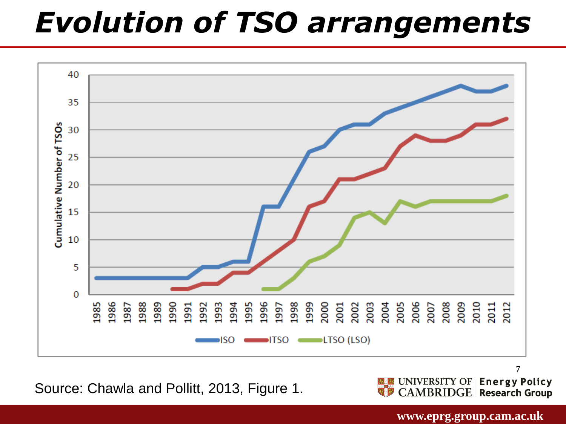# *Evolution of TSO arrangements*



Source: Chawla and Pollitt, 2013, Figure 1.

UNIVERSITY OF | Energy Policy<br>CAMBRIDGE | Research Group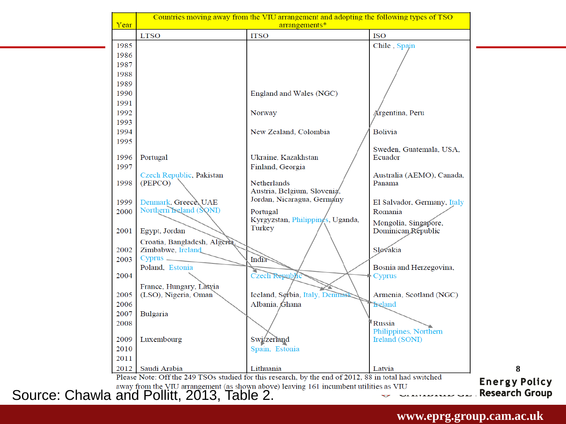| Year |                                            | Countries moving away from the VIU arrangement and adopting the following types of TSO<br>arrangements* |                                    |                       |
|------|--------------------------------------------|---------------------------------------------------------------------------------------------------------|------------------------------------|-----------------------|
|      | <b>LTSO</b>                                | <b>ITSO</b>                                                                                             | <b>ISO</b>                         |                       |
| 1985 |                                            |                                                                                                         | Chile, Spain                       |                       |
| 1986 |                                            |                                                                                                         |                                    |                       |
| 1987 |                                            |                                                                                                         |                                    |                       |
| 1988 |                                            |                                                                                                         |                                    |                       |
| 1989 |                                            |                                                                                                         |                                    |                       |
| 1990 |                                            | England and Wales (NGC)                                                                                 |                                    |                       |
| 1991 |                                            |                                                                                                         |                                    |                       |
| 1992 |                                            | Norway                                                                                                  | Argentina, Peru                    |                       |
| 1993 |                                            |                                                                                                         |                                    |                       |
| 1994 |                                            | New Zealand, Colombia                                                                                   | <b>Bolivia</b>                     |                       |
| 1995 |                                            |                                                                                                         |                                    |                       |
| 1996 |                                            | Ukraine, Kazakhstan                                                                                     | Sweden, Guatemala, USA,<br>Ecuador |                       |
| 1997 | Portugal                                   | Finland, Georgia                                                                                        |                                    |                       |
|      | Czech Republic, Pakistan                   |                                                                                                         | Australia (AEMO), Canada,          |                       |
| 1998 | (PEPCO)                                    | Netherlands                                                                                             | Panama                             |                       |
|      |                                            | Austria, Belgium, Slovenia,                                                                             |                                    |                       |
| 1999 | Denmark, Greece, UAE                       | Jordan, Nicaragua, Germany                                                                              | El Salvador, Germany, Italy        |                       |
| 2000 | Northern Ireland (SQNI)                    | Portugal                                                                                                | Romania                            |                       |
|      |                                            | Kyrgyzstan, Philippings, Uganda,                                                                        | Mongolia, Singapore,               |                       |
| 2001 | Egypt, Jordan                              | Turkey                                                                                                  | Dominican Republic                 |                       |
|      | Croatia, Bangladesh, Algeria,              |                                                                                                         |                                    |                       |
| 2002 | Zimbabwe, Ireland                          |                                                                                                         | Slovakia                           |                       |
| 2003 | Cyprus _                                   | <b>India</b>                                                                                            |                                    |                       |
|      | Poland, Estonia                            |                                                                                                         | Bosnia and Herzegovina,            |                       |
| 2004 |                                            | Czech Republic                                                                                          | Cyprus                             |                       |
|      | France, Hungary, Latyia                    |                                                                                                         |                                    |                       |
| 2005 | (LSO), Nigeria, Oman                       | Iceland, Serbia, Italy, Denmar                                                                          | Armenia, Scotland (NGC)            |                       |
| 2006 |                                            | Albania, Ghana                                                                                          | <b>Feland</b>                      |                       |
| 2007 | Bulgaria                                   |                                                                                                         |                                    |                       |
| 2008 |                                            |                                                                                                         | Russia<br>Philippines, Northern    |                       |
| 2009 | Luxembourg                                 | Switzerland                                                                                             | Ireland (SONI)                     |                       |
| 2010 |                                            | Spain, Estonia                                                                                          |                                    |                       |
| 2011 |                                            |                                                                                                         |                                    |                       |
|      | 2012   Saudi Arabia                        | Lithuania                                                                                               | Latvia                             | 8                     |
|      |                                            | Please Note: Off the 249 TSOs studied for this research, by the end of 2012, 88 in total had switched   |                                    |                       |
|      |                                            | away from the VIU arrangement (as shown above) leaving 161 incumbent utilities as VIU                   |                                    | <b>Energy Policy</b>  |
|      | Source: Chawla and Pollitt, 2013, Table 2. |                                                                                                         | ULEITED ELLE ULT                   | <b>Research Group</b> |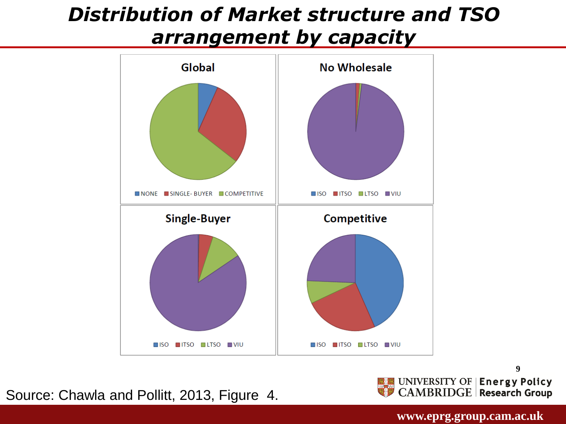#### *Distribution of Market structure and TSO arrangement by capacity*



Source: Chawla and Pollitt, 2013, Figure 4.

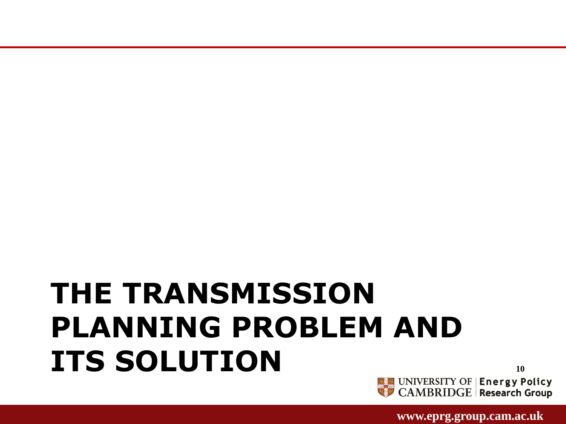# **THE TRANSMISSION PLANNING PROBLEM AND ITS SOLUTION**

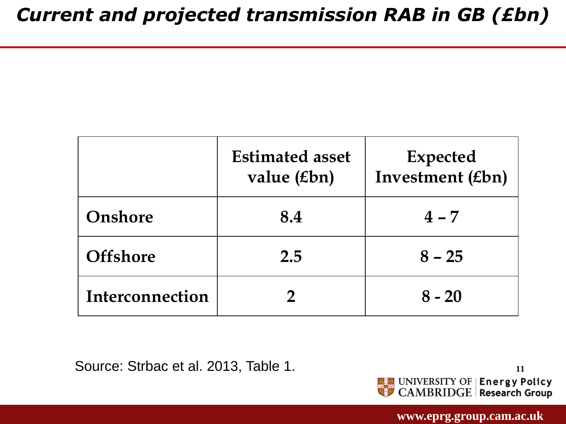|                 | <b>Estimated asset</b><br>value $(\pounds bn)$ | <b>Expected</b><br>Investment (£bn) |
|-----------------|------------------------------------------------|-------------------------------------|
| Onshore         | 8.4                                            | $4 - 7$                             |
| <b>Offshore</b> | 2.5                                            | $8 - 25$                            |
| Interconnection |                                                | $8 - 20$                            |

Source: Strbac et al. 2013, Table 1.

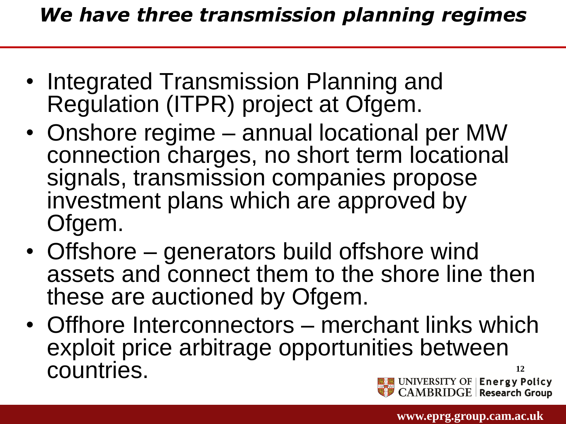- Integrated Transmission Planning and Regulation (ITPR) project at Ofgem.
- Onshore regime annual locational per MW connection charges, no short term locational signals, transmission companies propose investment plans which are approved by Ofgem.
- Offshore generators build offshore wind assets and connect them to the shore line then these are auctioned by Ofgem.
- Offhore Interconnectors merchant links which exploit price arbitrage opportunities between countries.**12** UNIVERSITY OF | Energy Policy<br>CAMBRIDGE | Research Group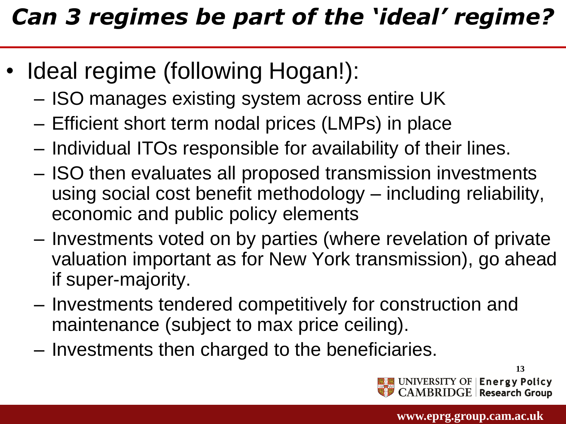### *Can 3 regimes be part of the 'ideal' regime?*

- Ideal regime (following Hogan!):
	- ISO manages existing system across entire UK
	- Efficient short term nodal prices (LMPs) in place
	- Individual ITOs responsible for availability of their lines.
	- ISO then evaluates all proposed transmission investments using social cost benefit methodology – including reliability, economic and public policy elements
	- Investments voted on by parties (where revelation of private valuation important as for New York transmission), go ahead if super-majority.
	- Investments tendered competitively for construction and maintenance (subject to max price ceiling).
	- Investments then charged to the beneficiaries.

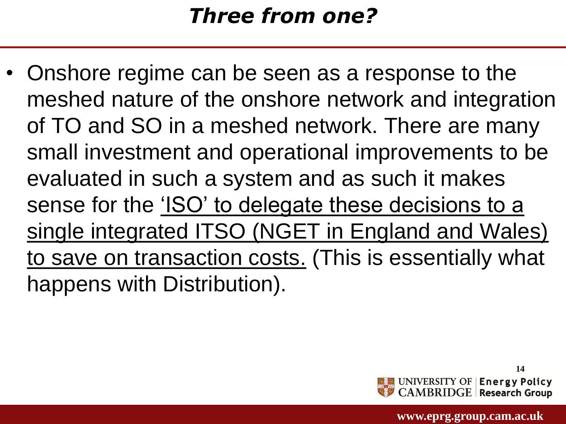#### *Three from one?*

• Onshore regime can be seen as a response to the meshed nature of the onshore network and integration of TO and SO in a meshed network. There are many small investment and operational improvements to be evaluated in such a system and as such it makes sense for the 'ISO' to delegate these decisions to a single integrated ITSO (NGET in England and Wales) to save on transaction costs. (This is essentially what happens with Distribution).

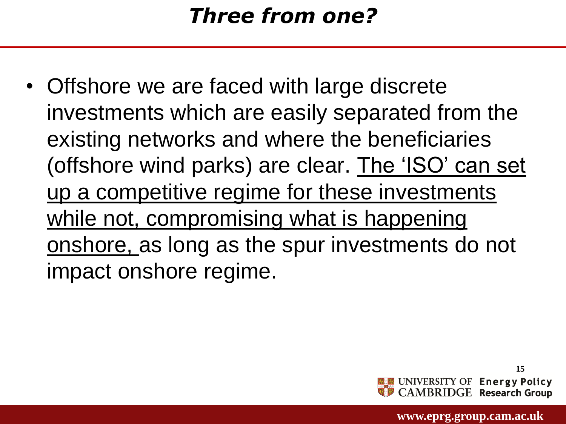• Offshore we are faced with large discrete investments which are easily separated from the existing networks and where the beneficiaries (offshore wind parks) are clear. The 'ISO' can set up a competitive regime for these investments while not, compromising what is happening onshore, as long as the spur investments do not impact onshore regime.

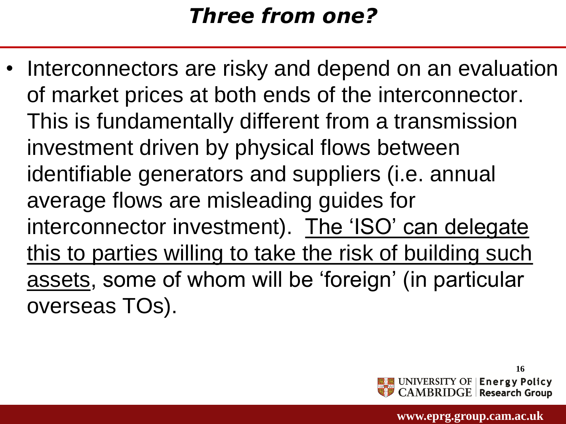#### *Three from one?*

• Interconnectors are risky and depend on an evaluation of market prices at both ends of the interconnector. This is fundamentally different from a transmission investment driven by physical flows between identifiable generators and suppliers (i.e. annual average flows are misleading guides for interconnector investment). The 'ISO' can delegate this to parties willing to take the risk of building such assets, some of whom will be 'foreign' (in particular overseas TOs).

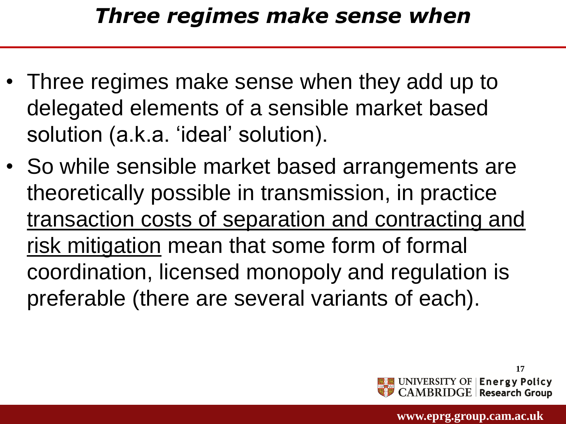#### *Three regimes make sense when*

- Three regimes make sense when they add up to delegated elements of a sensible market based solution (a.k.a. 'ideal' solution).
- So while sensible market based arrangements are theoretically possible in transmission, in practice transaction costs of separation and contracting and risk mitigation mean that some form of formal coordination, licensed monopoly and regulation is preferable (there are several variants of each).

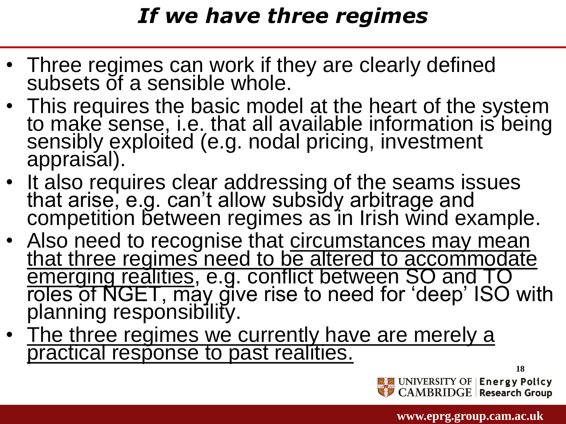#### *If we have three regimes*

- Three regimes can work if they are clearly defined subsets of a sensible whole.
- This requires the basic model at the heart of the system to make sense, i.e. that all available information is being sensibly exploited (e.g. nodal pricing, investment appraisal).
- It also requires clear addressing of the seams issues that arise, e.g. can't allow subsidy arbitrage and competition between regimes as in Irish wind example.
- Also need to recognise that circumstances may mean that three regimes need to be altered to accommodate emerging realities, e.g. conflict between SO and TO roles of NGET, may give rise to need for 'deep' ISO with planning responsibility.
- The three regimes we currently have are merely a practical response to past realities.

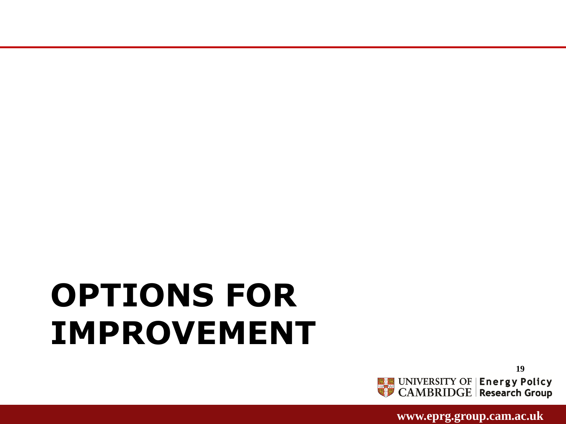**www.eprg.group.cam.ac.uk** 



# **OPTIONS FOR IMPROVEMENT**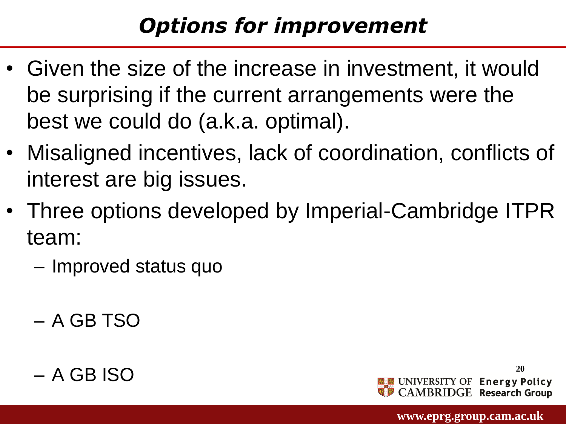### *Options for improvement*

- Given the size of the increase in investment, it would be surprising if the current arrangements were the best we could do (a.k.a. optimal).
- Misaligned incentives, lack of coordination, conflicts of interest are big issues.
- Three options developed by Imperial-Cambridge ITPR team:
	- Improved status quo
	- A GB TSO



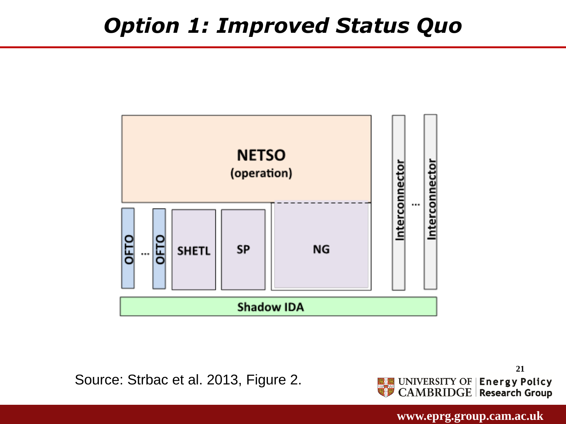#### *Option 1: Improved Status Quo*



Source: Strbac et al. 2013, Figure 2.

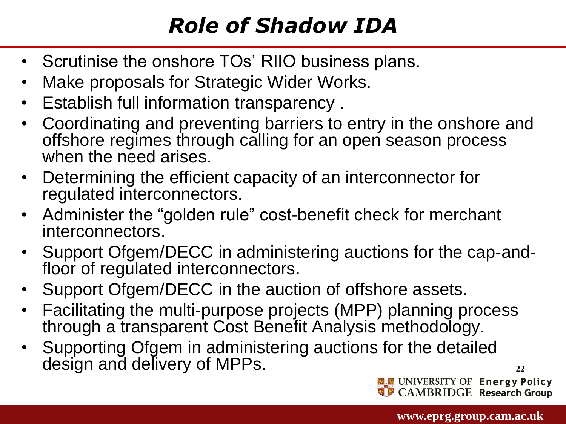### *Role of Shadow IDA*

- Scrutinise the onshore TOs' RIIO business plans.
- Make proposals for Strategic Wider Works.
- Establish full information transparency .
- Coordinating and preventing barriers to entry in the onshore and offshore regimes through calling for an open season process when the need arises.
- Determining the efficient capacity of an interconnector for regulated interconnectors.
- Administer the "golden rule" cost-benefit check for merchant interconnectors.
- Support Ofgem/DECC in administering auctions for the cap-andfloor of regulated interconnectors.
- Support Ofgem/DECC in the auction of offshore assets.
- Facilitating the multi-purpose projects (MPP) planning process through a transparent Cost Benefit Analysis methodology.
- Supporting Ofgem in administering auctions for the detailed design and delivery of MPPs.



**22**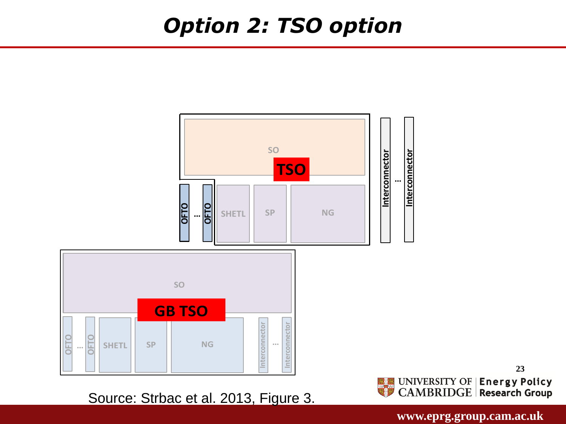#### *Option 2: TSO option*



Source: Strbac et al. 2013, Figure 3.

 **www.eprg.group.cam.ac.uk** 

**23**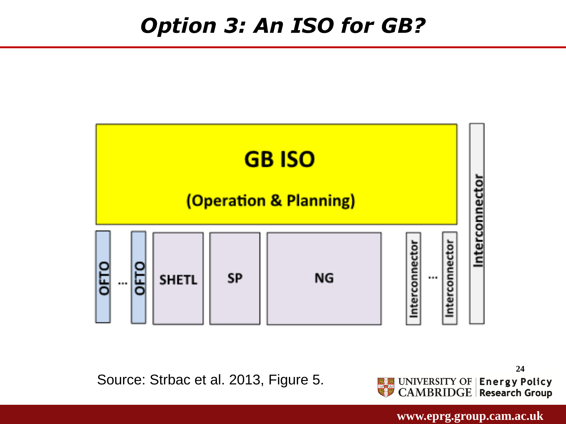

Source: Strbac et al. 2013, Figure 5.

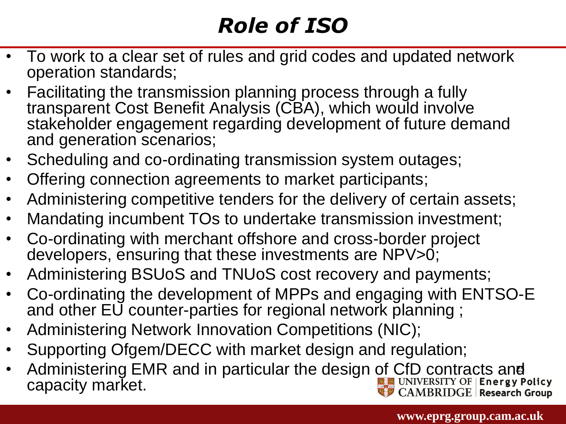### *Role of ISO*

- To work to a clear set of rules and grid codes and updated network operation standards;
- Facilitating the transmission planning process through a fully transparent Cost Benefit Analysis (CBA), which would involve stakeholder engagement regarding development of future demand and generation scenarios;
- Scheduling and co-ordinating transmission system outages;
- Offering connection agreements to market participants;
- Administering competitive tenders for the delivery of certain assets;
- Mandating incumbent TOs to undertake transmission investment;
- Co-ordinating with merchant offshore and cross-border project developers, ensuring that these investments are NPV>0;
- Administering BSUoS and TNUoS cost recovery and payments;
- Co-ordinating the development of MPPs and engaging with ENTSO-E and other EU counter-parties for regional network planning ;
- Administering Network Innovation Competitions (NIC);
- Supporting Ofgem/DECC with market design and regulation;
- **25** Administering EMR and in particular the design of CfD contracts and capacity market. $\mathop{\mathrm{CAMBRIDGE}}\nolimits\vert$  Research Group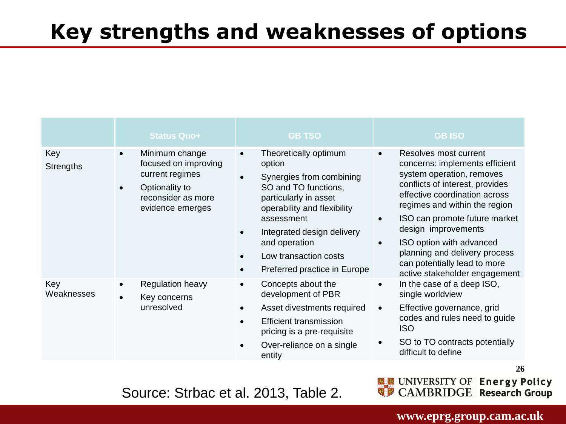#### **Key strengths and weaknesses of options**

|                         | <b>Status Quo+</b>                                                                                                                 | <b>GB TSO</b>                                                                                                                                                                                                                                                                               | <b>GB ISO</b>                                                                                                                                                                                                                                                                                                                                                                                |
|-------------------------|------------------------------------------------------------------------------------------------------------------------------------|---------------------------------------------------------------------------------------------------------------------------------------------------------------------------------------------------------------------------------------------------------------------------------------------|----------------------------------------------------------------------------------------------------------------------------------------------------------------------------------------------------------------------------------------------------------------------------------------------------------------------------------------------------------------------------------------------|
| Key<br><b>Strengths</b> | Minimum change<br>$\bullet$<br>focused on improving<br>current regimes<br>Optionality to<br>reconsider as more<br>evidence emerges | Theoretically optimum<br>$\bullet$<br>option<br>Synergies from combining<br>SO and TO functions,<br>particularly in asset<br>operability and flexibility<br>assessment<br>Integrated design delivery<br>and operation<br>Low transaction costs<br>Preferred practice in Europe<br>$\bullet$ | Resolves most current<br>$\bullet$<br>concerns: implements efficient<br>system operation, removes<br>conflicts of interest, provides<br>effective coordination across<br>regimes and within the region<br>ISO can promote future market<br>design improvements<br>ISO option with advanced<br>planning and delivery process<br>can potentially lead to more<br>active stakeholder engagement |
| Key<br>Weaknesses       | Regulation heavy<br>Key concerns<br>unresolved                                                                                     | Concepts about the<br>development of PBR<br>Asset divestments required<br><b>Efficient transmission</b><br>pricing is a pre-requisite<br>Over-reliance on a single<br>entity                                                                                                                | In the case of a deep ISO,<br>$\bullet$<br>single worldview<br>Effective governance, grid<br>$\bullet$<br>codes and rules need to guide<br><b>ISO</b><br>SO to TO contracts potentially<br>difficult to define                                                                                                                                                                               |



Source: Strbac et al. 2013, Table 2.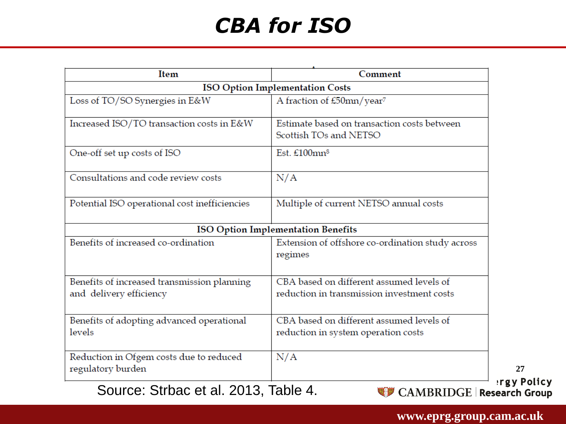### *CBA for ISO*

| Item                                                                   | Comment                                                                                |  |
|------------------------------------------------------------------------|----------------------------------------------------------------------------------------|--|
| <b>ISO Option Implementation Costs</b>                                 |                                                                                        |  |
| Loss of TO/SO Synergies in E&W                                         | A fraction of £50mn/year <sup>7</sup>                                                  |  |
| Increased ISO/TO transaction costs in E&W                              | Estimate based on transaction costs between<br>Scottish TOs and NETSO                  |  |
| One-off set up costs of ISO                                            | Est. $£100$ mn <sup>8</sup>                                                            |  |
| Consultations and code review costs                                    | N/A                                                                                    |  |
| Potential ISO operational cost inefficiencies                          | Multiple of current NETSO annual costs                                                 |  |
|                                                                        | <b>ISO Option Implementation Benefits</b>                                              |  |
| Benefits of increased co-ordination                                    | Extension of offshore co-ordination study across<br>regimes                            |  |
| Benefits of increased transmission planning<br>and delivery efficiency | CBA based on different assumed levels of<br>reduction in transmission investment costs |  |
| Benefits of adopting advanced operational<br>levels                    | CBA based on different assumed levels of<br>reduction in system operation costs        |  |
| Reduction in Ofgem costs due to reduced<br>regulatory burden           | N/A                                                                                    |  |
| Source: Strbac et al. 2013, Table 4.                                   | CAMBRIDGE   Research Group                                                             |  |

 **www.eprg.group.cam.ac.uk**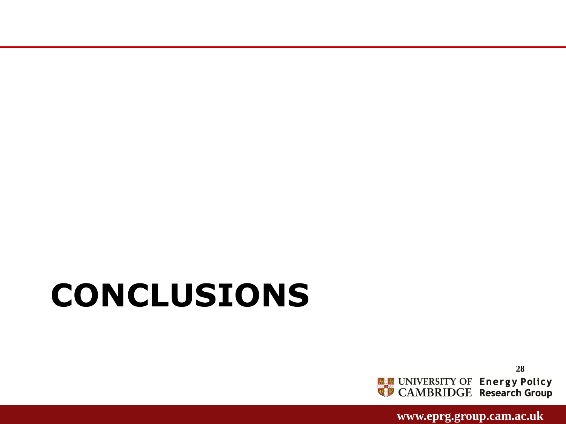**28 ENERGY OF Energy Policy**<br>CAMBRIDGE Research Group

 **www.eprg.group.cam.ac.uk** 

# **CONCLUSIONS**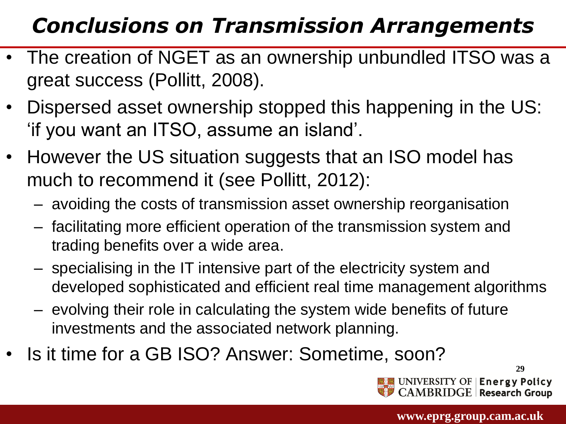### *Conclusions on Transmission Arrangements*

- The creation of NGET as an ownership unbundled ITSO was a great success (Pollitt, 2008).
- Dispersed asset ownership stopped this happening in the US: 'if you want an ITSO, assume an island'.
- However the US situation suggests that an ISO model has much to recommend it (see Pollitt, 2012):
	- avoiding the costs of transmission asset ownership reorganisation
	- facilitating more efficient operation of the transmission system and trading benefits over a wide area.
	- specialising in the IT intensive part of the electricity system and developed sophisticated and efficient real time management algorithms
	- evolving their role in calculating the system wide benefits of future investments and the associated network planning.
- Is it time for a GB ISO? Answer: Sometime, soon?

**29** UNIVERSITY OF | Energy Policy **MBRIDGE Research Group**